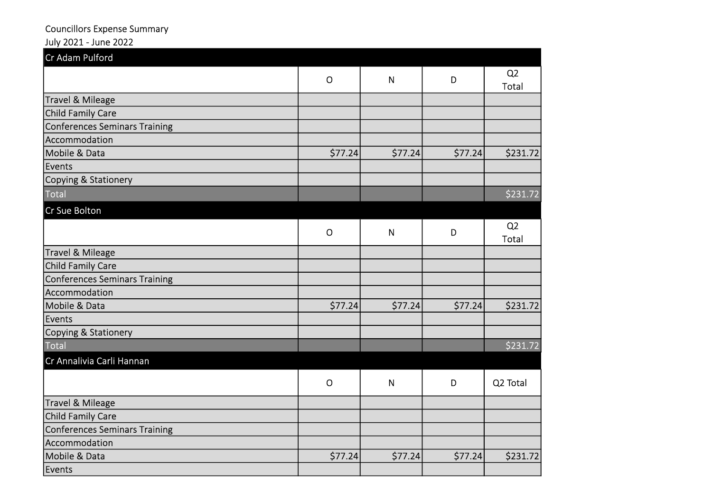## Councillors Expense Summary

## July 2021 - June 2022

| Cr Adam Pulford                      |              |              |         |                         |
|--------------------------------------|--------------|--------------|---------|-------------------------|
|                                      | $\mathsf{O}$ | N            | D       | Q <sub>2</sub><br>Total |
| Travel & Mileage                     |              |              |         |                         |
| Child Family Care                    |              |              |         |                         |
| Conferences Seminars Training        |              |              |         |                         |
| Accommodation                        |              |              |         |                         |
| Mobile & Data                        | \$77.24      | \$77.24      | \$77.24 | \$231.72                |
| Events                               |              |              |         |                         |
| Copying & Stationery                 |              |              |         |                         |
| Total                                |              |              |         | \$231.72                |
| Cr Sue Bolton                        |              |              |         |                         |
|                                      | $\mathsf{O}$ | $\mathsf{N}$ | D       | Q <sub>2</sub><br>Total |
| Travel & Mileage                     |              |              |         |                         |
| Child Family Care                    |              |              |         |                         |
| <b>Conferences Seminars Training</b> |              |              |         |                         |
| Accommodation                        |              |              |         |                         |
| Mobile & Data                        | \$77.24      | \$77.24      | \$77.24 | \$231.72                |
| Events                               |              |              |         |                         |
| Copying & Stationery                 |              |              |         |                         |
| Total                                |              |              |         | $\frac{231.72}{2}$      |
| Cr Annalivia Carli Hannan            |              |              |         |                         |
|                                      | $\mathsf{O}$ | $\mathsf{N}$ | D       | Q2 Total                |
| Travel & Mileage                     |              |              |         |                         |
| Child Family Care                    |              |              |         |                         |
| <b>Conferences Seminars Training</b> |              |              |         |                         |
| Accommodation                        |              |              |         |                         |
| Mobile & Data                        | \$77.24      | \$77.24      | \$77.24 | \$231.72                |
| Events                               |              |              |         |                         |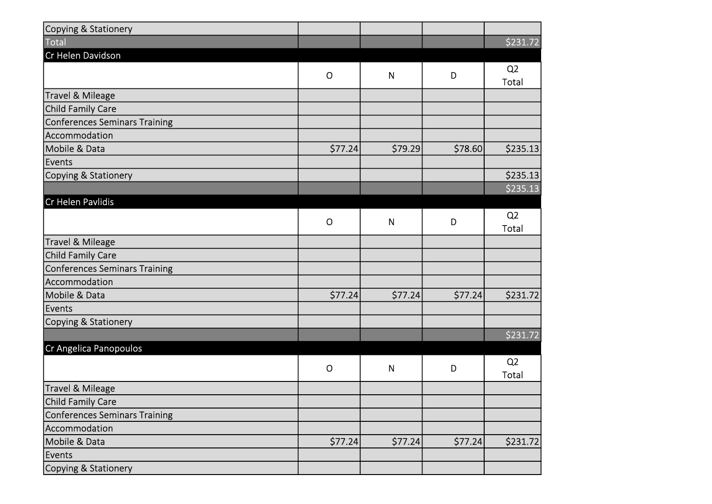| Copying & Stationery          |              |              |          |                |
|-------------------------------|--------------|--------------|----------|----------------|
| Total                         |              |              |          | \$231.72       |
| Cr Helen Davidson             |              |              |          |                |
|                               | $\mathsf O$  | $\mathsf{N}$ | D        | Q <sub>2</sub> |
|                               |              |              |          | Total          |
| Travel & Mileage              |              |              |          |                |
| Child Family Care             |              |              |          |                |
| Conferences Seminars Training |              |              |          |                |
| Accommodation                 |              |              |          |                |
| Mobile & Data                 | \$77.24      | \$79.29      | \$78.60  | \$235.13       |
| Events                        |              |              |          |                |
| Copying & Stationery          |              |              |          | \$235.13       |
|                               |              |              |          | \$235.13       |
| Cr Helen Pavlidis             |              |              |          |                |
|                               | $\mathsf{O}$ | N            | D        | Q <sub>2</sub> |
|                               |              |              |          | <b>Total</b>   |
| Travel & Mileage              |              |              |          |                |
| Child Family Care             |              |              |          |                |
| Conferences Seminars Training |              |              |          |                |
| Accommodation                 |              |              |          |                |
| Mobile & Data                 | \$77.24      | \$77.24      | \$77.24  | \$231.72       |
| Events                        |              |              |          |                |
| Copying & Stationery          |              |              |          |                |
|                               |              |              |          | \$231.72       |
| Cr Angelica Panopoulos        |              |              |          |                |
|                               | $\mathsf{O}$ |              | D        | Q <sub>2</sub> |
|                               |              | N            |          | Total          |
| Travel & Mileage              |              |              |          |                |
| Child Family Care             |              |              |          |                |
| Conferences Seminars Training |              |              |          |                |
| Accommodation                 |              |              |          |                |
| Mobile & Data                 | \$77.24]     | \$77.24]     | \$77.24] | \$231.72       |
| Events                        |              |              |          |                |
| Copying & Stationery          |              |              |          |                |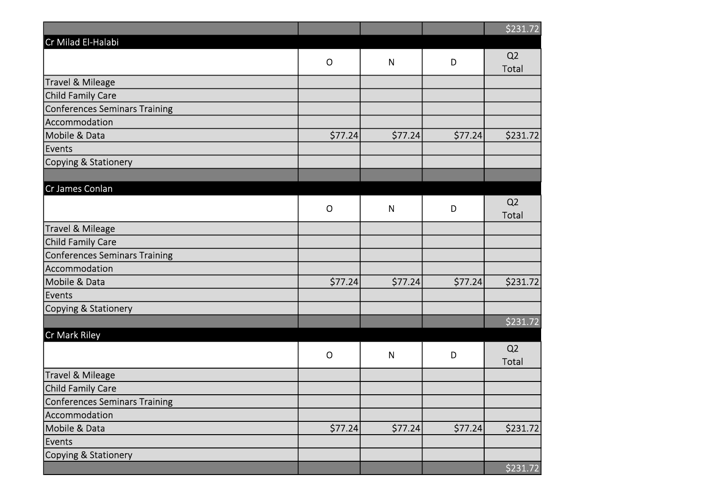|                                      |              |              |          | \$231.72                |
|--------------------------------------|--------------|--------------|----------|-------------------------|
| Cr Milad El-Halabi                   |              |              |          |                         |
|                                      | $\mathsf{O}$ | $\mathsf{N}$ | D        | Q <sub>2</sub><br>Total |
| <b>Travel &amp; Mileage</b>          |              |              |          |                         |
| Child Family Care                    |              |              |          |                         |
| Conferences Seminars Training        |              |              |          |                         |
| Accommodation                        |              |              |          |                         |
| Mobile & Data                        | \$77.24      | \$77.24]     | \$77.24  | \$231.72                |
| Events                               |              |              |          |                         |
| Copying & Stationery                 |              |              |          |                         |
|                                      |              |              |          |                         |
| Cr James Conlan                      |              |              |          |                         |
|                                      | $\mathsf{O}$ | N            | D        | Q <sub>2</sub><br>Total |
| <b>Travel &amp; Mileage</b>          |              |              |          |                         |
| Child Family Care                    |              |              |          |                         |
| <b>Conferences Seminars Training</b> |              |              |          |                         |
| Accommodation                        |              |              |          |                         |
| Mobile & Data                        | \$77.24      | \$77.24]     | \$77.24  | \$231.72]               |
| Events                               |              |              |          |                         |
| Copying & Stationery                 |              |              |          |                         |
|                                      |              |              |          | \$231.72                |
| Cr Mark Riley                        |              |              |          |                         |
|                                      | $\mathsf{O}$ | ${\sf N}$    | D        | Q <sub>2</sub>          |
|                                      |              |              |          | Total                   |
| <b>Travel &amp; Mileage</b>          |              |              |          |                         |
| Child Family Care                    |              |              |          |                         |
| <b>Conferences Seminars Training</b> |              |              |          |                         |
| Accommodation                        |              |              |          |                         |
| Mobile & Data                        | \$77.24]     | \$77.24]     | \$77.24] | \$231.72]               |
| Events                               |              |              |          |                         |
| Copying & Stationery                 |              |              |          |                         |
|                                      |              |              |          | \$231.72                |